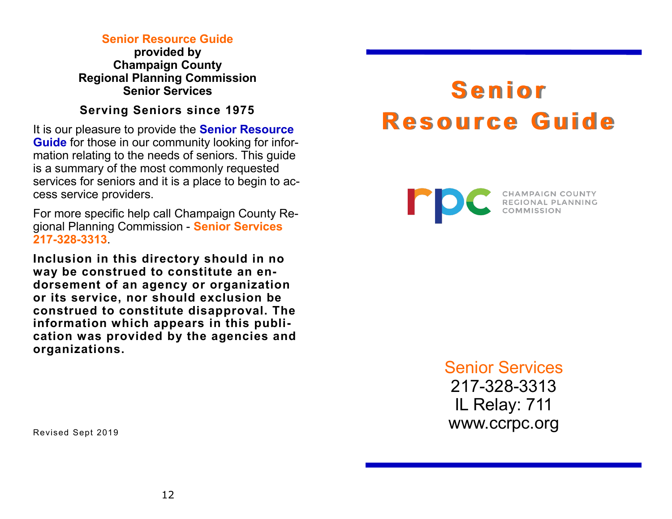#### **Senior Resource Guide**

**provided by Champaign County Regional Planning Commission Senior Services**

#### **Serving Seniors since 1975**

It is our pleasure to provide the **Senior Resource Guide** for those in our community looking for information relating to the needs of seniors. This guide is a summary of the most commonly requested services for seniors and it is a place to begin to access service providers.

For more specific help call Champaign County Regional Planning Commission - **Senior Services 217-328-3313**.

**Inclusion in this directory should in no way be construed to constitute an endorsement of an agency or organization or its service, nor should exclusion be construed to constitute disapproval. The information which appears in this publication was provided by the agencies and organizations.**

# **S e n i o r R e s o u r c e G u i d e**



Senior Services 217-328-3313 IL Relay: 711 www.ccrpc.org

Revised Sept 2019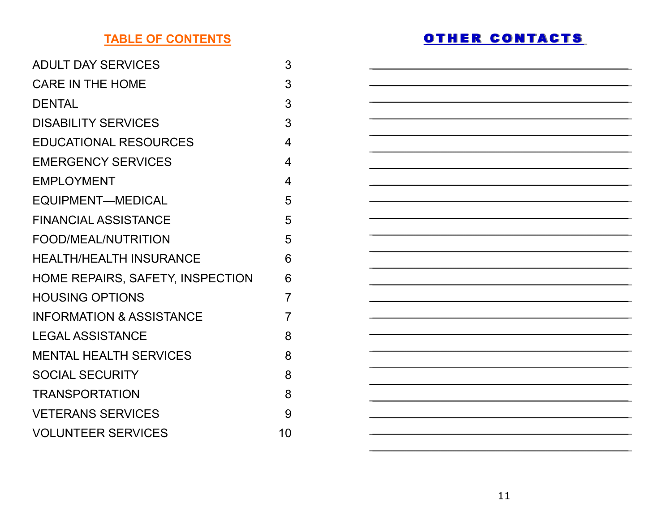# **TABLE OF CONTENTS**

| <b>ADULT DAY SERVICES</b>           | 3                        |
|-------------------------------------|--------------------------|
| <b>CARE IN THE HOME</b>             | 3                        |
| <b>DENTAL</b>                       | 3                        |
| <b>DISABILITY SERVICES</b>          | 3                        |
| EDUCATIONAL RESOURCES               | $\overline{\mathcal{A}}$ |
| <b>EMERGENCY SERVICES</b>           | 4                        |
| <b>EMPLOYMENT</b>                   | 4                        |
| EQUIPMENT—MEDICAL                   | 5                        |
| <b>FINANCIAL ASSISTANCE</b>         | 5                        |
| FOOD/MEAL/NUTRITION                 | 5                        |
| <b>HEALTH/HEALTH INSURANCE</b>      | 6                        |
| HOME REPAIRS, SAFETY, INSPECTION    | 6                        |
| <b>HOUSING OPTIONS</b>              | $\overline{7}$           |
| <b>INFORMATION &amp; ASSISTANCE</b> | $\overline{7}$           |
| <b>LEGAL ASSISTANCE</b>             | 8                        |
| <b>MENTAL HEALTH SERVICES</b>       | 8                        |
| <b>SOCIAL SECURITY</b>              | 8                        |
| TRANSPORTATION                      | 8                        |
| <b>VETERANS SERVICES</b>            | 9                        |
| <b>VOLUNTEER SERVICES</b>           | 10                       |
|                                     |                          |

# OTHER CONTACTS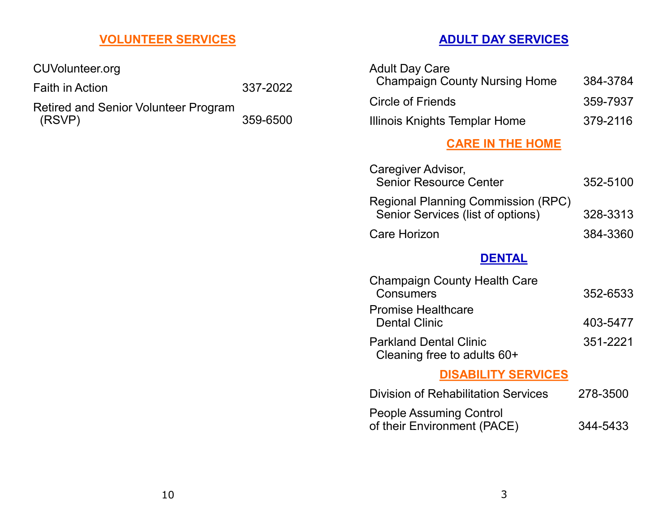# **VOLUNTEER SERVICES**

CUVolunteer.org

Faith in Action 337-2022

Retired and Senior Volunteer Program (RSVP) 359-6500

### **ADULT DAY SERVICES**

| <b>Adult Day Care</b>                |          |
|--------------------------------------|----------|
| <b>Champaign County Nursing Home</b> | 384-3784 |
| Circle of Friends                    | 359-7937 |
| Illinois Knights Templar Home        | 379-2116 |

### **CARE IN THE HOME**

| Caregiver Advisor,<br><b>Senior Resource Center</b>                            | 352-5100 |
|--------------------------------------------------------------------------------|----------|
| <b>Regional Planning Commission (RPC)</b><br>Senior Services (list of options) | 328-3313 |
| Care Horizon                                                                   | 384-3360 |

### **DENTAL**

| <b>Champaign County Health Care</b><br>Consumers             | 352-6533 |
|--------------------------------------------------------------|----------|
| <b>Promise Healthcare</b><br><b>Dental Clinic</b>            | 403-5477 |
| <b>Parkland Dental Clinic</b><br>Cleaning free to adults 60+ | 351-2221 |

#### **DISABILITY SERVICES**

| <b>Division of Rehabilitation Services</b> | 278-3500 |
|--------------------------------------------|----------|
| <b>People Assuming Control</b>             |          |
| of their Environment (PACE)                | 344-5433 |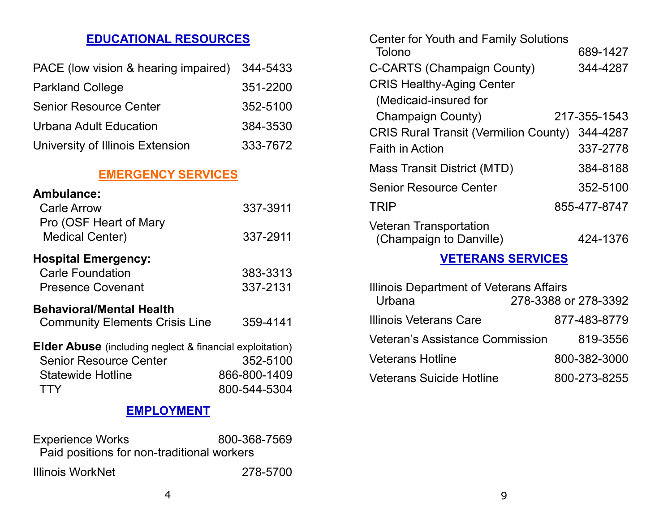# **EDUCATIONAL RESOURCES**

| PACE (low vision & hearing impaired) | 344-5433 |
|--------------------------------------|----------|
| <b>Parkland College</b>              | 351-2200 |
| <b>Senior Resource Center</b>        | 352-5100 |
| Urbana Adult Education               | 384-3530 |
| University of Illinois Extension     | 333-7672 |

# **EMERGENCY SERVICES**

| Ambulance:                                                      |              |  |
|-----------------------------------------------------------------|--------------|--|
| <b>Carle Arrow</b>                                              | 337-3911     |  |
| Pro (OSF Heart of Mary                                          |              |  |
| <b>Medical Center)</b>                                          | 337-2911     |  |
| <b>Hospital Emergency:</b>                                      |              |  |
| <b>Carle Foundation</b>                                         | 383-3313     |  |
| <b>Presence Covenant</b>                                        | 337-2131     |  |
| <b>Behavioral/Mental Health</b>                                 |              |  |
| <b>Community Elements Crisis Line</b>                           | 359-4141     |  |
| <b>Elder Abuse</b> (including neglect & financial exploitation) |              |  |
| <b>Senior Resource Center</b>                                   | 352-5100     |  |
| <b>Statewide Hotline</b>                                        | 866-800-1409 |  |
| <b>TTY</b>                                                      | 800-544-5304 |  |
| EMPI OYMENT                                                     |              |  |

#### **EMPLOYMENT**

| <b>Experience Works</b>                    | 800-368-7569 |
|--------------------------------------------|--------------|
| Paid positions for non-traditional workers |              |
| Illinois WorkNet                           | 278-5700     |

| <b>Center for Youth and Family Solutions</b>             |              |
|----------------------------------------------------------|--------------|
| Tolono                                                   | 689-1427     |
| <b>C-CARTS (Champaign County)</b>                        | 344-4287     |
| <b>CRIS Healthy-Aging Center</b>                         |              |
| (Medicaid-insured for                                    |              |
| <b>Champaign County)</b>                                 | 217-355-1543 |
| <b>CRIS Rural Transit (Vermilion County)</b>             | 344-4287     |
| <b>Faith in Action</b>                                   | 337-2778     |
| Mass Transit District (MTD)                              | 384-8188     |
| <b>Senior Resource Center</b>                            | 352-5100     |
| <b>TRIP</b>                                              | 855-477-8747 |
| <b>Veteran Transportation</b><br>(Champaign to Danville) | 424-1376     |
|                                                          |              |

#### **VETERANS SERVICES**

| Illinois Department of Veterans Affairs<br>278-3388 or 278-3392<br>Urbana |              |
|---------------------------------------------------------------------------|--------------|
| Illinois Veterans Care                                                    | 877-483-8779 |
| <b>Veteran's Assistance Commission</b>                                    | 819-3556     |
| <b>Veterans Hotline</b>                                                   | 800-382-3000 |
| <b>Veterans Suicide Hotline</b>                                           | 800-273-8255 |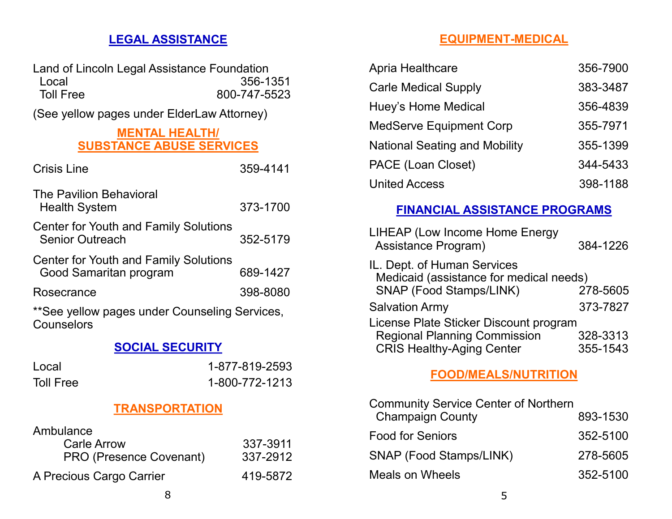# **LEGAL ASSISTANCE**

Land of Lincoln Legal Assistance Foundation Local 356-1351<br>
Toll Free 300-747-5523 800-747-5523

(See yellow pages under ElderLaw Attorney)

#### **MENTAL HEALTH/ SUBSTANCE ABUSE SERVICES**

| <b>Crisis Line</b>                                                     | 359-4141 |
|------------------------------------------------------------------------|----------|
| <b>The Pavilion Behavioral</b><br><b>Health System</b>                 | 373-1700 |
| <b>Center for Youth and Family Solutions</b><br><b>Senior Outreach</b> | 352-5179 |
| <b>Center for Youth and Family Solutions</b><br>Good Samaritan program | 689-1427 |
| Rosecrance                                                             | 398-8080 |
| **See yellow pages under Counseling Services,<br>Counselors            |          |

#### **SOCIAL SECURITY**

| Local            | 1-877-819-2593 |
|------------------|----------------|
| <b>Toll Free</b> | 1-800-772-1213 |

#### **TRANSPORTATION**

| Ambulance                      |          |
|--------------------------------|----------|
| <b>Carle Arrow</b>             | 337-3911 |
| <b>PRO (Presence Covenant)</b> | 337-2912 |
| A Precious Cargo Carrier       | 419-5872 |

# **EQUIPMENT-MEDICAL**

| Apria Healthcare                     | 356-7900 |
|--------------------------------------|----------|
| <b>Carle Medical Supply</b>          | 383-3487 |
| Huey's Home Medical                  | 356-4839 |
| <b>MedServe Equipment Corp</b>       | 355-7971 |
| <b>National Seating and Mobility</b> | 355-1399 |
| PACE (Loan Closet)                   | 344-5433 |
| <b>United Access</b>                 | 398-1188 |

#### **FINANCIAL ASSISTANCE PROGRAMS**

| <b>LIHEAP (Low Income Home Energy</b><br>Assistance Program)           | 384-1226 |
|------------------------------------------------------------------------|----------|
| IL. Dept. of Human Services<br>Medicaid (assistance for medical needs) |          |
| <b>SNAP (Food Stamps/LINK)</b>                                         | 278-5605 |
| <b>Salvation Army</b>                                                  | 373-7827 |
| License Plate Sticker Discount program                                 |          |
| <b>Regional Planning Commission</b>                                    | 328-3313 |
| <b>CRIS Healthy-Aging Center</b>                                       | 355-1543 |

#### **FOOD/MEALS/NUTRITION**

| <b>Community Service Center of Northern</b> |          |
|---------------------------------------------|----------|
| <b>Champaign County</b>                     | 893-1530 |
| <b>Food for Seniors</b>                     | 352-5100 |
| <b>SNAP (Food Stamps/LINK)</b>              | 278-5605 |
| Meals on Wheels                             | 352-5100 |